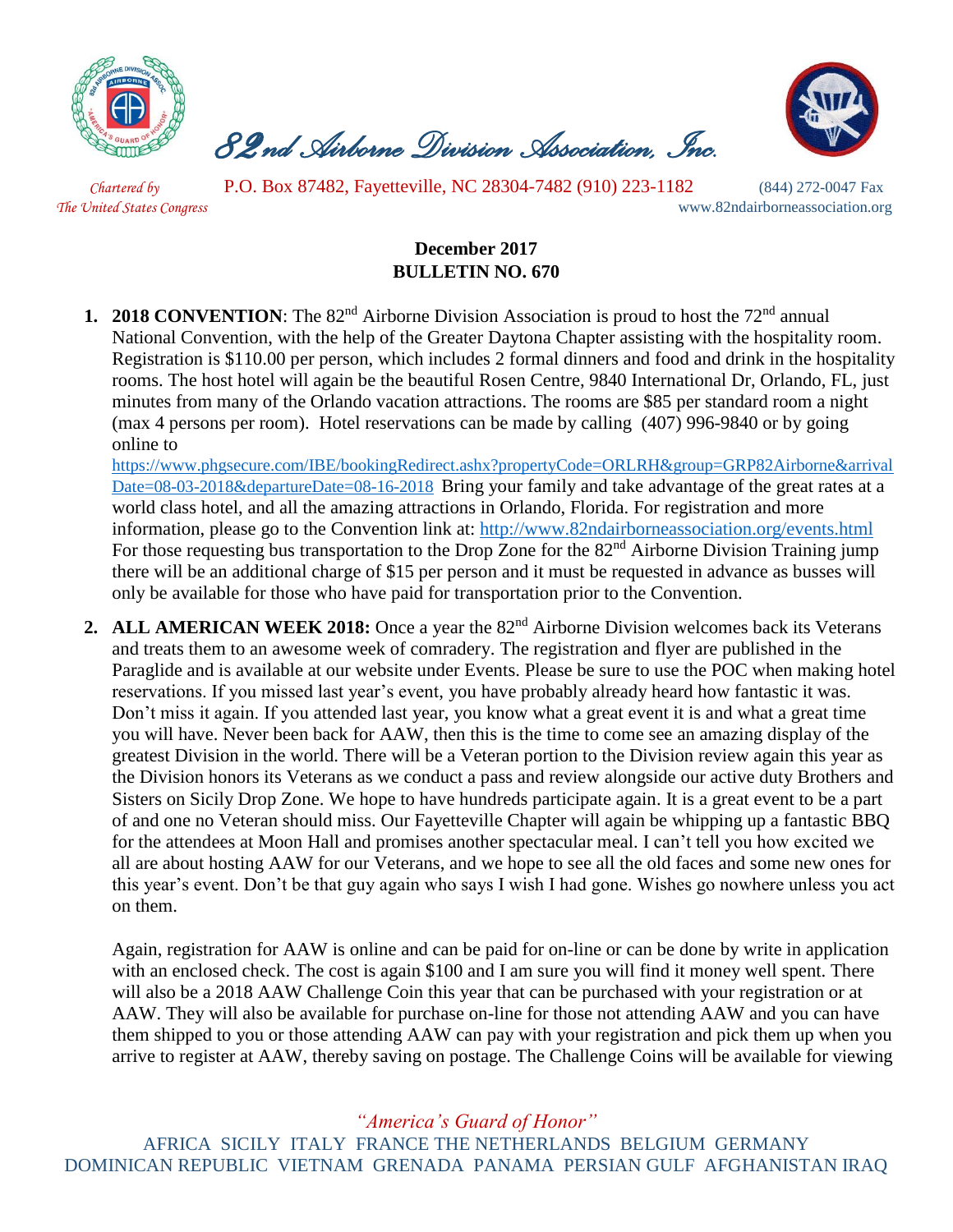

 *82nd Airborne Division Association, Inc.* 



 *Chartered by* P.O. Box 87482, Fayetteville, NC 28304-7482 (910) 223-1182 (844) 272-0047 Fax *The United States Congress* www.82ndairborneassociation.org

## **December 2017 BULLETIN NO. 670**

**1. 2018 CONVENTION**: The 82<sup>nd</sup> Airborne Division Association is proud to host the 72<sup>nd</sup> annual National Convention, with the help of the Greater Daytona Chapter assisting with the hospitality room. Registration is \$110.00 per person, which includes 2 formal dinners and food and drink in the hospitality rooms. The host hotel will again be the beautiful Rosen Centre, 9840 International Dr, Orlando, FL, just minutes from many of the Orlando vacation attractions. The rooms are \$85 per standard room a night (max 4 persons per room). Hotel reservations can be made by calling (407) 996-9840 or by going online t[o](https://linkprotect.cudasvc.com/url?a=https://www.phgsecure.com/IBE/bookingRedirect.ashx%3fpropertyCode%3dORLRH%26group%3dGRP82Airborne%26arrivalDate%3d08-03-2018%26departureDate%3d08-16-2018&c=E,1,HJtkOoO-PUZczzsVfSzwv1cNxcZEiOIYkaul51Pqvrt0mtZE9BFRRgYTPurE5U_mLWnXg2_HaS66eVRzXCgHDjvxr7tr8i3ZlU6XNH5Mc8xS&typo=1)

[https://www.phgsecure.com/IBE/bookingRedirect.ashx?propertyCode=ORLRH&group=GRP82Airborne&arrival](https://linkprotect.cudasvc.com/url?a=https://www.phgsecure.com/IBE/bookingRedirect.ashx%3fpropertyCode%3dORLRH%26group%3dGRP82Airborne%26arrivalDate%3d08-03-2018%26departureDate%3d08-16-2018&c=E,1,HJtkOoO-PUZczzsVfSzwv1cNxcZEiOIYkaul51Pqvrt0mtZE9BFRRgYTPurE5U_mLWnXg2_HaS66eVRzXCgHDjvxr7tr8i3ZlU6XNH5Mc8xS&typo=1) [Date=08-03-2018&departureDate=08-16-2018](https://linkprotect.cudasvc.com/url?a=https://www.phgsecure.com/IBE/bookingRedirect.ashx%3fpropertyCode%3dORLRH%26group%3dGRP82Airborne%26arrivalDate%3d08-03-2018%26departureDate%3d08-16-2018&c=E,1,HJtkOoO-PUZczzsVfSzwv1cNxcZEiOIYkaul51Pqvrt0mtZE9BFRRgYTPurE5U_mLWnXg2_HaS66eVRzXCgHDjvxr7tr8i3ZlU6XNH5Mc8xS&typo=1) Bring your family and take advantage of the great rates at a world class hotel, and all the amazing attractions in Orlando, Florida. For registration and more information, please go to the Convention link at:<http://www.82ndairborneassociation.org/events.html> For those requesting bus transportation to the Drop Zone for the 82<sup>nd</sup> Airborne Division Training jump there will be an additional charge of \$15 per person and it must be requested in advance as busses will only be available for those who have paid for transportation prior to the Convention.

**2. ALL AMERICAN WEEK 2018:** Once a year the 82<sup>nd</sup> Airborne Division welcomes back its Veterans and treats them to an awesome week of comradery. The registration and flyer are published in the Paraglide and is available at our website under Events. Please be sure to use the POC when making hotel reservations. If you missed last year's event, you have probably already heard how fantastic it was. Don't miss it again. If you attended last year, you know what a great event it is and what a great time you will have. Never been back for AAW, then this is the time to come see an amazing display of the greatest Division in the world. There will be a Veteran portion to the Division review again this year as the Division honors its Veterans as we conduct a pass and review alongside our active duty Brothers and Sisters on Sicily Drop Zone. We hope to have hundreds participate again. It is a great event to be a part of and one no Veteran should miss. Our Fayetteville Chapter will again be whipping up a fantastic BBQ for the attendees at Moon Hall and promises another spectacular meal. I can't tell you how excited we all are about hosting AAW for our Veterans, and we hope to see all the old faces and some new ones for this year's event. Don't be that guy again who says I wish I had gone. Wishes go nowhere unless you act on them.

Again, registration for AAW is online and can be paid for on-line or can be done by write in application with an enclosed check. The cost is again \$100 and I am sure you will find it money well spent. There will also be a 2018 AAW Challenge Coin this year that can be purchased with your registration or at AAW. They will also be available for purchase on-line for those not attending AAW and you can have them shipped to you or those attending AAW can pay with your registration and pick them up when you arrive to register at AAW, thereby saving on postage. The Challenge Coins will be available for viewing

*"America's Guard of Honor"*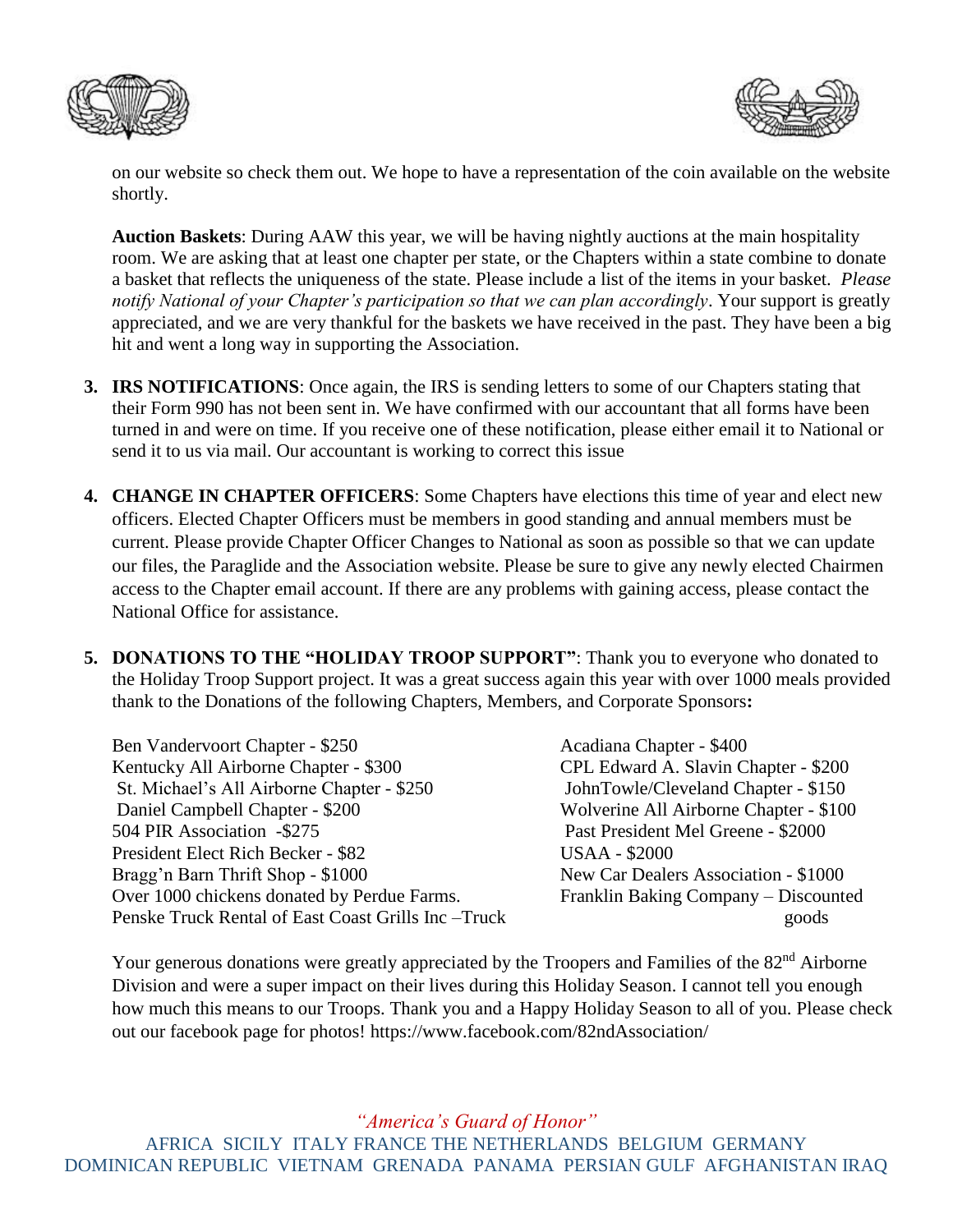



on our website so check them out. We hope to have a representation of the coin available on the website shortly.

**Auction Baskets**: During AAW this year, we will be having nightly auctions at the main hospitality room. We are asking that at least one chapter per state, or the Chapters within a state combine to donate a basket that reflects the uniqueness of the state. Please include a list of the items in your basket. *Please notify National of your Chapter's participation so that we can plan accordingly*. Your support is greatly appreciated, and we are very thankful for the baskets we have received in the past. They have been a big hit and went a long way in supporting the Association.

- **3. IRS NOTIFICATIONS**: Once again, the IRS is sending letters to some of our Chapters stating that their Form 990 has not been sent in. We have confirmed with our accountant that all forms have been turned in and were on time. If you receive one of these notification, please either email it to National or send it to us via mail. Our accountant is working to correct this issue
- **4. CHANGE IN CHAPTER OFFICERS**: Some Chapters have elections this time of year and elect new officers. Elected Chapter Officers must be members in good standing and annual members must be current. Please provide Chapter Officer Changes to National as soon as possible so that we can update our files, the Paraglide and the Association website. Please be sure to give any newly elected Chairmen access to the Chapter email account. If there are any problems with gaining access, please contact the National Office for assistance.
- **5. DONATIONS TO THE "HOLIDAY TROOP SUPPORT"**: Thank you to everyone who donated to the Holiday Troop Support project. It was a great success again this year with over 1000 meals provided thank to the Donations of the following Chapters, Members, and Corporate Sponsors**:**

Ben Vandervoort Chapter - \$250 Acadiana Chapter - \$400 Kentucky All Airborne Chapter - \$300 CPL Edward A. Slavin Chapter - \$200 St. Michael's All Airborne Chapter - \$250 JohnTowle/Cleveland Chapter - \$150 Daniel Campbell Chapter - \$200 Wolverine All Airborne Chapter - \$100 504 PIR Association -\$275 Past President Mel Greene - \$2000 President Elect Rich Becker - \$82 USAA - \$2000 Bragg'n Barn Thrift Shop - \$1000 New Car Dealers Association - \$1000 Over 1000 chickens donated by Perdue Farms. Franklin Baking Company – Discounted Penske Truck Rental of East Coast Grills Inc –Truck goods

Your generous donations were greatly appreciated by the Troopers and Families of the 82<sup>nd</sup> Airborne Division and were a super impact on their lives during this Holiday Season. I cannot tell you enough how much this means to our Troops. Thank you and a Happy Holiday Season to all of you. Please check out our facebook page for photos! https://www.facebook.com/82ndAssociation/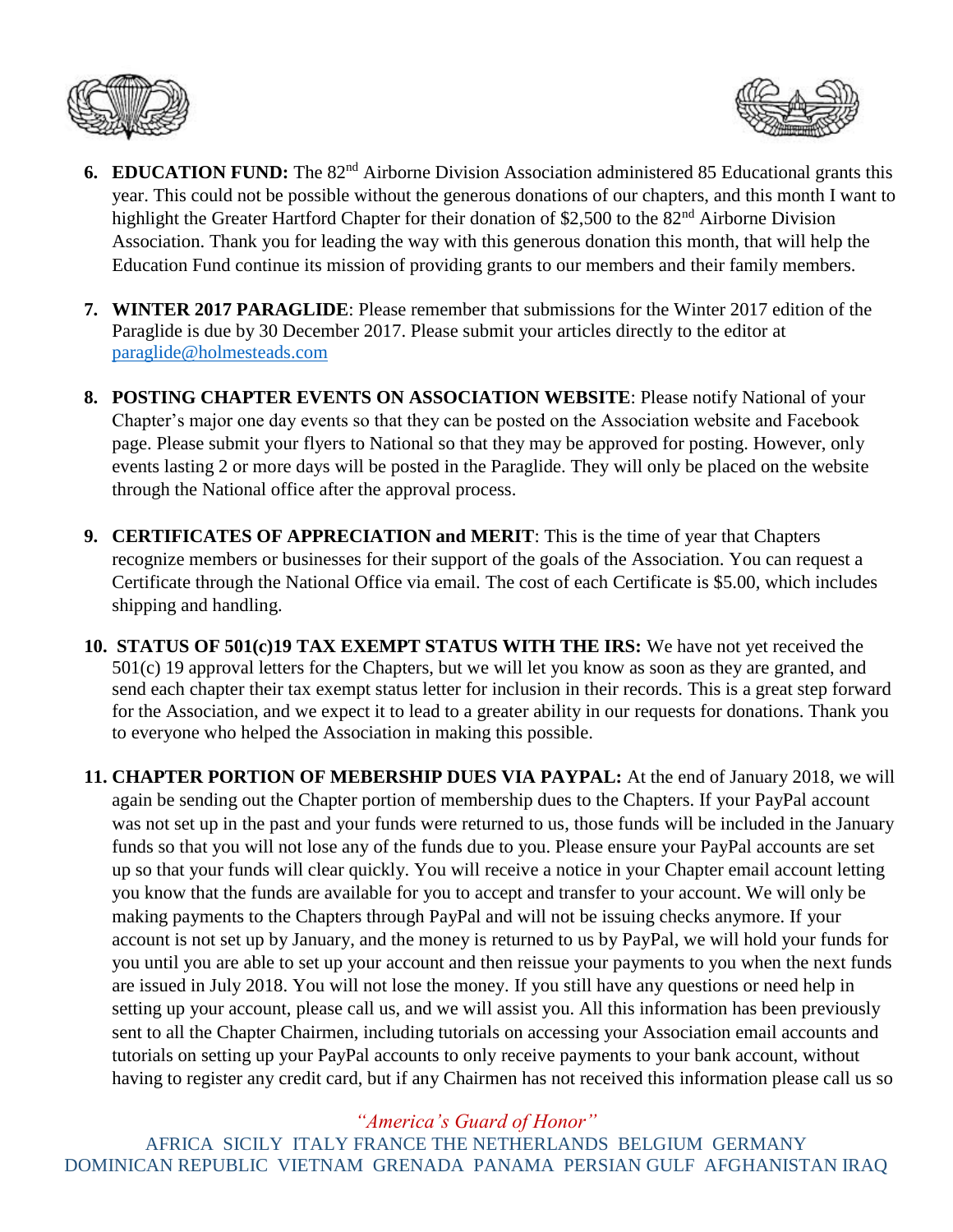



- **6. EDUCATION FUND:** The 82<sup>nd</sup> Airborne Division Association administered 85 Educational grants this year. This could not be possible without the generous donations of our chapters, and this month I want to highlight the Greater Hartford Chapter for their donation of \$2,500 to the 82<sup>nd</sup> Airborne Division Association. Thank you for leading the way with this generous donation this month, that will help the Education Fund continue its mission of providing grants to our members and their family members.
- **7. WINTER 2017 PARAGLIDE**: Please remember that submissions for the Winter 2017 edition of the Paraglide is due by 30 December 2017. Please submit your articles directly to the editor at [paraglide@holmesteads.com](mailto:paraglide@holmesteads.com)
- **8. POSTING CHAPTER EVENTS ON ASSOCIATION WEBSITE**: Please notify National of your Chapter's major one day events so that they can be posted on the Association website and Facebook page. Please submit your flyers to National so that they may be approved for posting. However, only events lasting 2 or more days will be posted in the Paraglide. They will only be placed on the website through the National office after the approval process.
- **9. CERTIFICATES OF APPRECIATION and MERIT**: This is the time of year that Chapters recognize members or businesses for their support of the goals of the Association. You can request a Certificate through the National Office via email. The cost of each Certificate is \$5.00, which includes shipping and handling.
- **10. STATUS OF 501(c)19 TAX EXEMPT STATUS WITH THE IRS:** We have not yet received the 501(c) 19 approval letters for the Chapters, but we will let you know as soon as they are granted, and send each chapter their tax exempt status letter for inclusion in their records. This is a great step forward for the Association, and we expect it to lead to a greater ability in our requests for donations. Thank you to everyone who helped the Association in making this possible.

**11. CHAPTER PORTION OF MEBERSHIP DUES VIA PAYPAL:** At the end of January 2018, we will again be sending out the Chapter portion of membership dues to the Chapters. If your PayPal account was not set up in the past and your funds were returned to us, those funds will be included in the January funds so that you will not lose any of the funds due to you. Please ensure your PayPal accounts are set up so that your funds will clear quickly. You will receive a notice in your Chapter email account letting you know that the funds are available for you to accept and transfer to your account. We will only be making payments to the Chapters through PayPal and will not be issuing checks anymore. If your account is not set up by January, and the money is returned to us by PayPal, we will hold your funds for you until you are able to set up your account and then reissue your payments to you when the next funds are issued in July 2018. You will not lose the money. If you still have any questions or need help in setting up your account, please call us, and we will assist you. All this information has been previously sent to all the Chapter Chairmen, including tutorials on accessing your Association email accounts and tutorials on setting up your PayPal accounts to only receive payments to your bank account, without having to register any credit card, but if any Chairmen has not received this information please call us so

*"America's Guard of Honor"*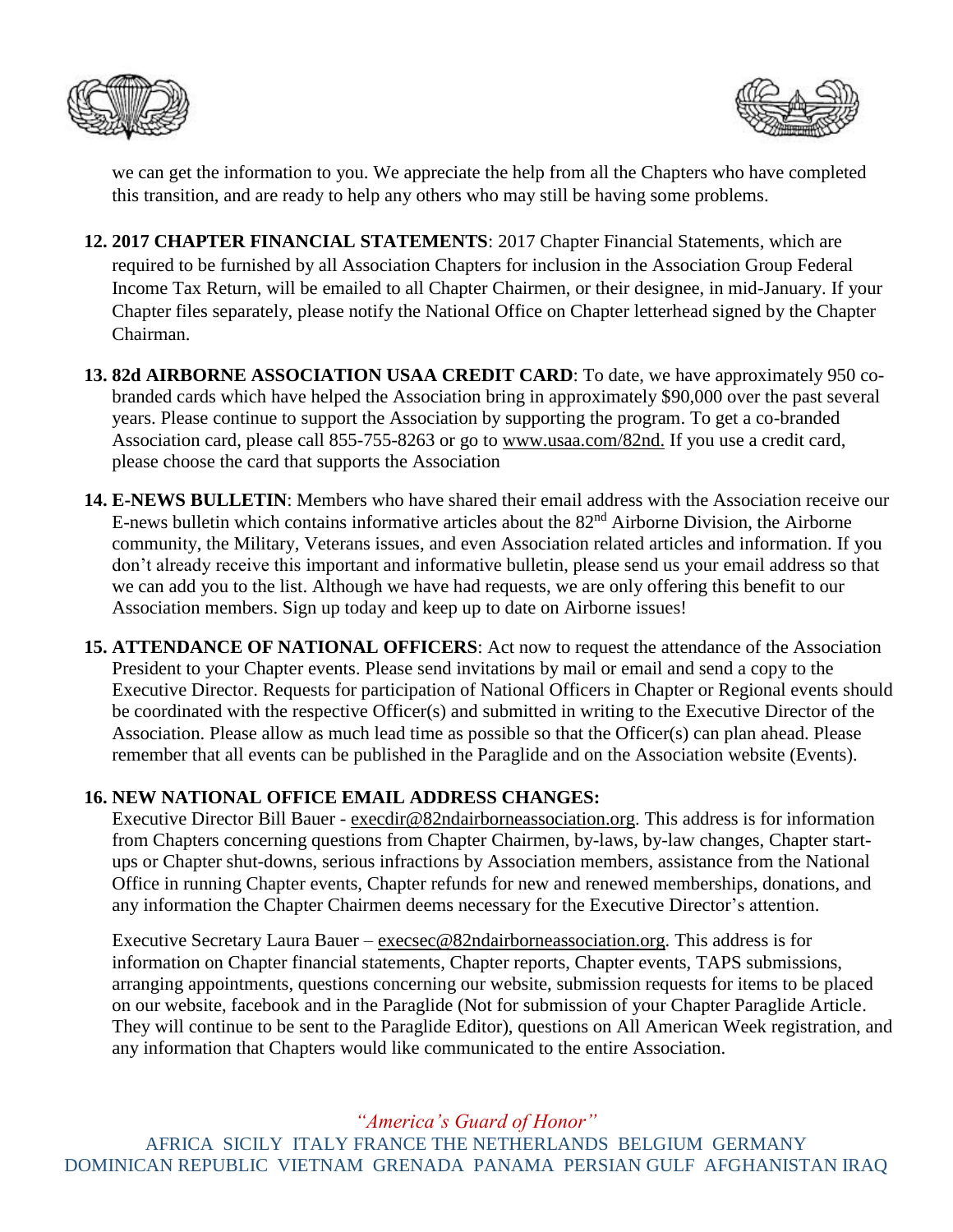



we can get the information to you. We appreciate the help from all the Chapters who have completed this transition, and are ready to help any others who may still be having some problems.

- **12. 2017 CHAPTER FINANCIAL STATEMENTS**: 2017 Chapter Financial Statements, which are required to be furnished by all Association Chapters for inclusion in the Association Group Federal Income Tax Return, will be emailed to all Chapter Chairmen, or their designee, in mid-January. If your Chapter files separately, please notify the National Office on Chapter letterhead signed by the Chapter Chairman.
- **13. 82d AIRBORNE ASSOCIATION USAA CREDIT CARD**: To date, we have approximately 950 cobranded cards which have helped the Association bring in approximately \$90,000 over the past several years. Please continue to support the Association by supporting the program. To get a co-branded Association card, please call 855-755-8263 or go to [www.usaa.com/82nd.](http://www.usaa.com/82nd) If you use a credit card, please choose the card that supports the Association
- **14. E-NEWS BULLETIN**: Members who have shared their email address with the Association receive our E-news bulletin which contains informative articles about the 82nd Airborne Division, the Airborne community, the Military, Veterans issues, and even Association related articles and information. If you don't already receive this important and informative bulletin, please send us your email address so that we can add you to the list. Although we have had requests, we are only offering this benefit to our Association members. Sign up today and keep up to date on Airborne issues!
- **15. ATTENDANCE OF NATIONAL OFFICERS**: Act now to request the attendance of the Association President to your Chapter events. Please send invitations by mail or email and send a copy to the Executive Director. Requests for participation of National Officers in Chapter or Regional events should be coordinated with the respective Officer(s) and submitted in writing to the Executive Director of the Association. Please allow as much lead time as possible so that the Officer(s) can plan ahead. Please remember that all events can be published in the Paraglide and on the Association website (Events).

## **16. NEW NATIONAL OFFICE EMAIL ADDRESS CHANGES:**

Executive Director Bill Bauer - [execdir@82ndairborneassociation.org.](mailto:execdir@82ndairborneassociation.org) This address is for information from Chapters concerning questions from Chapter Chairmen, by-laws, by-law changes, Chapter startups or Chapter shut-downs, serious infractions by Association members, assistance from the National Office in running Chapter events, Chapter refunds for new and renewed memberships, donations, and any information the Chapter Chairmen deems necessary for the Executive Director's attention.

Executive Secretary Laura Bauer – [execsec@82ndairborneassociation.org.](mailto:execsec@82ndairborneassociation.org) This address is for information on Chapter financial statements, Chapter reports, Chapter events, TAPS submissions, arranging appointments, questions concerning our website, submission requests for items to be placed on our website, facebook and in the Paraglide (Not for submission of your Chapter Paraglide Article. They will continue to be sent to the Paraglide Editor), questions on All American Week registration, and any information that Chapters would like communicated to the entire Association.

*"America's Guard of Honor"*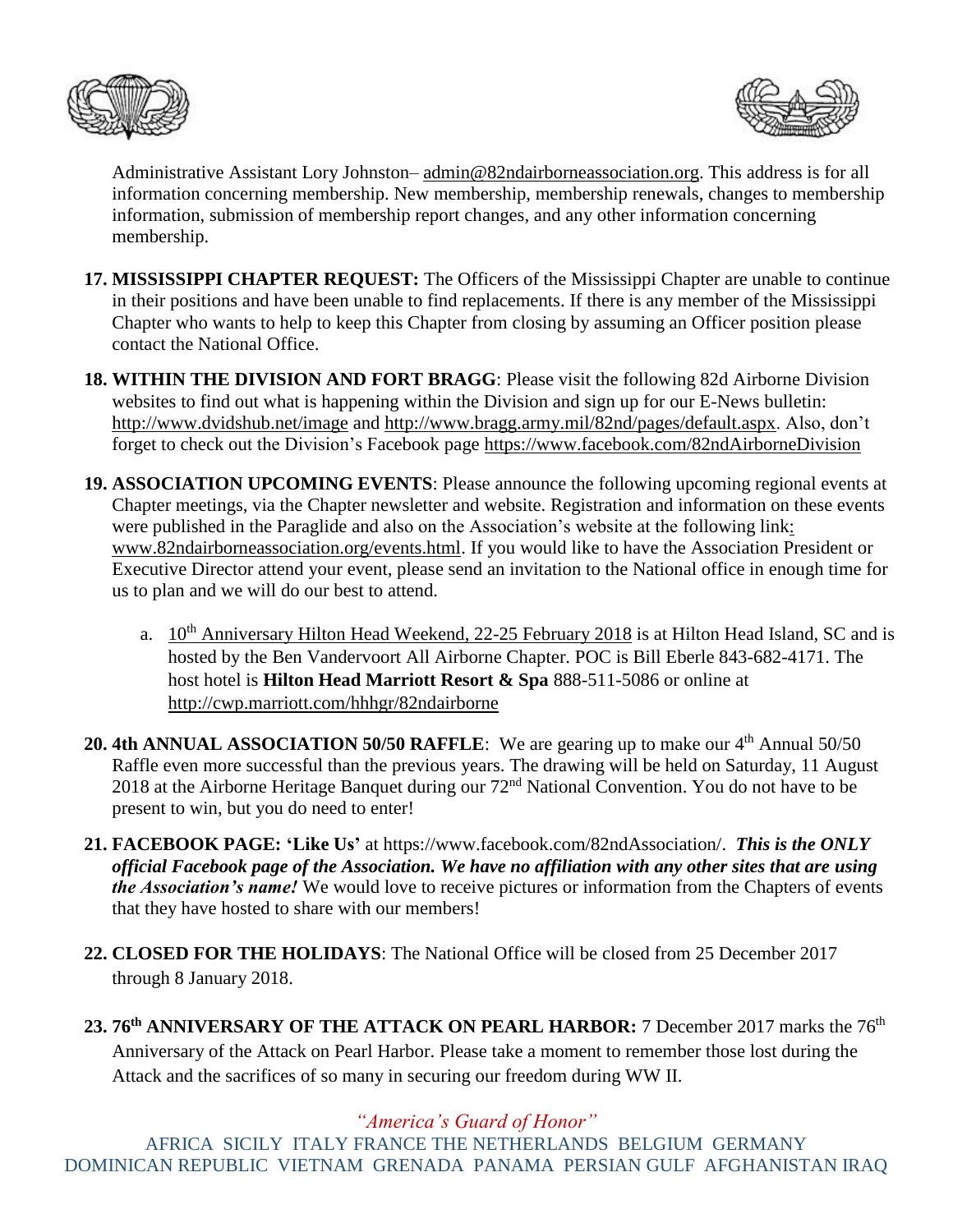



Administrative Assistant Lory Johnston–  $\underline{admin@82}$ ndairborneassociation.org. This address is for all information concerning membership. New membership, membership renewals, changes to membership information, submission of membership report changes, and any other information concerning membership.

- **17. MISSISSIPPI CHAPTER REQUEST:** The Officers of the Mississippi Chapter are unable to continue in their positions and have been unable to find replacements. If there is any member of the Mississippi Chapter who wants to help to keep this Chapter from closing by assuming an Officer position please contact the National Office.
- **18. WITHIN THE DIVISION AND FORT BRAGG**: Please visit the following 82d Airborne Division websites to find out what is happening within the Division and sign up for our E-News bulletin: <http://www.dvidshub.net/image> and [http://www.bragg.army.mil/82nd/pages/default.aspx.](http://www.bragg.army.mil/82ND/Pages/default.aspx) Also, don't forget to check out the Division's Facebook page<https://www.facebook.com/82ndAirborneDivision>
- **19. ASSOCIATION UPCOMING EVENTS**: Please announce the following upcoming regional events at Chapter meetings, via the Chapter newsletter and website. Registration and information on these events were published in the Paraglide and also on the Association's website at the following link: [www.82ndairborneassociation.org/events.html.](http://www.82ndairborneassociation.org/events.html) If you would like to have the Association President or Executive Director attend your event, please send an invitation to the National office in enough time for us to plan and we will do our best to attend.
	- a.  $10^{th}$  Anniversary Hilton Head Weekend, 22-25 February 2018 is at Hilton Head Island, SC and is hosted by the Ben Vandervoort All Airborne Chapter. POC is Bill Eberle 843-682-4171. The host hotel is **Hilton Head Marriott Resort & Spa** 888-511-5086 or online at <http://cwp.marriott.com/hhhgr/82ndairborne>
- **20. 4th ANNUAL ASSOCIATION 50/50 RAFFLE:** We are gearing up to make our 4<sup>th</sup> Annual 50/50 Raffle even more successful than the previous years. The drawing will be held on Saturday, 11 August 2018 at the Airborne Heritage Banquet during our 72nd National Convention. You do not have to be present to win, but you do need to enter!
- **21. FACEBOOK PAGE: 'Like Us'** at https://www.facebook.com/82ndAssociation/. *This is the ONLY official Facebook page of the Association. We have no affiliation with any other sites that are using the Association's name!* We would love to receive pictures or information from the Chapters of events that they have hosted to share with our members!
- **22. CLOSED FOR THE HOLIDAYS**: The National Office will be closed from 25 December 2017 through 8 January 2018.
- 23. 76<sup>th</sup> ANNIVERSARY OF THE ATTACK ON PEARL HARBOR: 7 December 2017 marks the 76<sup>th</sup> Anniversary of the Attack on Pearl Harbor. Please take a moment to remember those lost during the Attack and the sacrifices of so many in securing our freedom during WW II.

*"America's Guard of Honor"*